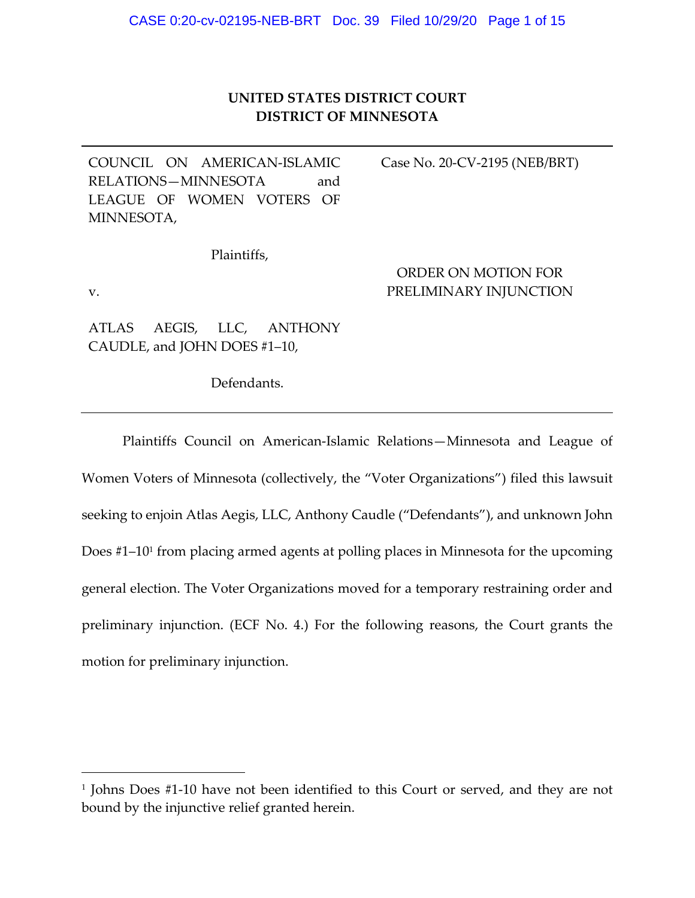# **UNITED STATES DISTRICT COURT DISTRICT OF MINNESOTA**

COUNCIL ON AMERICAN‐ISLAMIC RELATIONS-MINNESOTA and LEAGUE OF WOMEN VOTERS OF MINNESOTA,

Case No. 20‐CV‐2195 (NEB/BRT)

Plaintiffs,

v.

ORDER ON MOTION FOR PRELIMINARY INJUNCTION

ATLAS AEGIS, LLC, ANTHONY CAUDLE, and JOHN DOES #1–10,

Defendants.

Plaintiffs Council on American‐Islamic Relations—Minnesota and League of Women Voters of Minnesota (collectively, the "Voter Organizations") filed this lawsuit seeking to enjoin Atlas Aegis, LLC, Anthony Caudle ("Defendants"), and unknown John Does #1–101 from placing armed agents at polling places in Minnesota for the upcoming general election. The Voter Organizations moved for a temporary restraining order and preliminary injunction. (ECF No. 4.) For the following reasons, the Court grants the motion for preliminary injunction.

<sup>1</sup> Johns Does #1‐10 have not been identified to this Court or served, and they are not bound by the injunctive relief granted herein.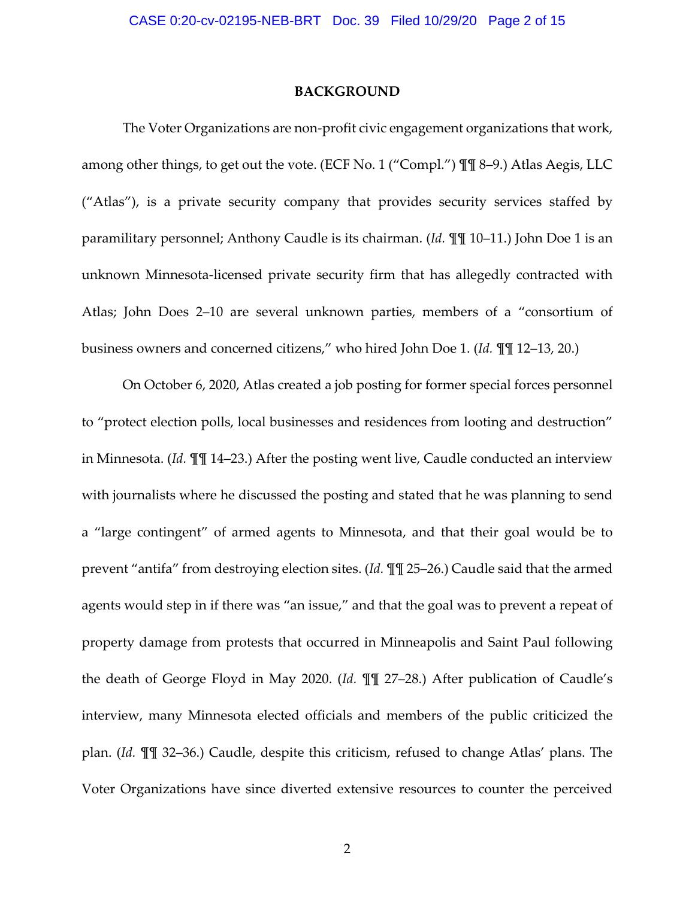#### **BACKGROUND**

The Voter Organizations are non-profit civic engagement organizations that work, among other things, to get out the vote. (ECF No. 1 ("Compl.") ¶¶ 8–9.) Atlas Aegis, LLC ("Atlas"), is a private security company that provides security services staffed by paramilitary personnel; Anthony Caudle is its chairman. (*Id.* ¶¶ 10–11.) John Doe 1 is an unknown Minnesota‐licensed private security firm that has allegedly contracted with Atlas; John Does 2–10 are several unknown parties, members of a "consortium of business owners and concerned citizens," who hired John Doe 1. (*Id.* ¶¶ 12–13, 20.)

On October 6, 2020, Atlas created a job posting for former special forces personnel to "protect election polls, local businesses and residences from looting and destruction" in Minnesota. (*Id.* ¶¶ 14–23.) After the posting went live, Caudle conducted an interview with journalists where he discussed the posting and stated that he was planning to send a "large contingent" of armed agents to Minnesota, and that their goal would be to prevent "antifa" from destroying election sites. (*Id.* ¶¶ 25–26.) Caudle said that the armed agents would step in if there was "an issue," and that the goal was to prevent a repeat of property damage from protests that occurred in Minneapolis and Saint Paul following the death of George Floyd in May 2020. (*Id.* ¶¶ 27–28.) After publication of Caudle's interview, many Minnesota elected officials and members of the public criticized the plan. (*Id.* ¶¶ 32–36.) Caudle, despite this criticism, refused to change Atlas' plans. The Voter Organizations have since diverted extensive resources to counter the perceived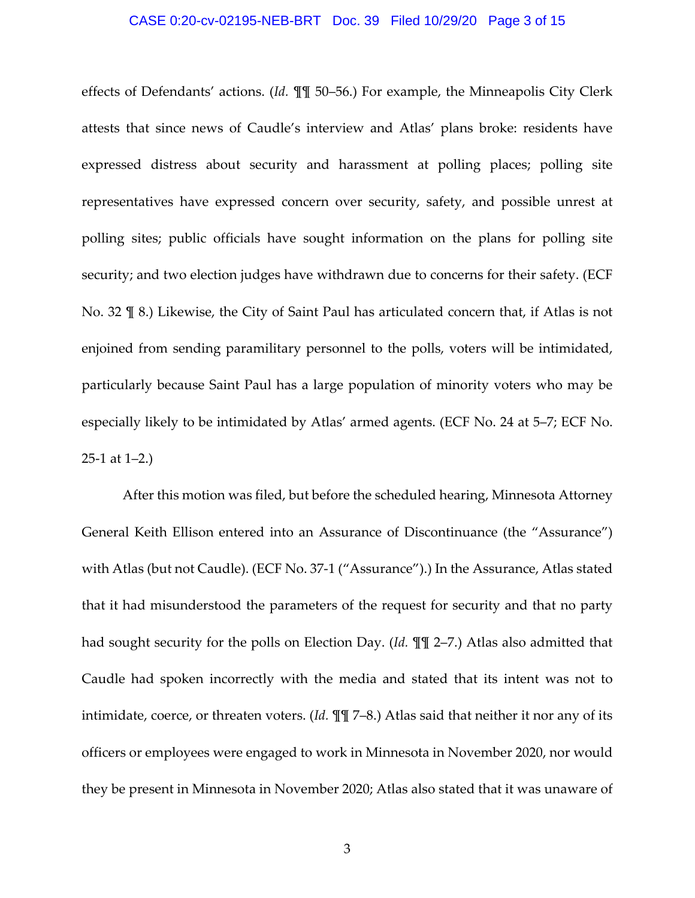#### CASE 0:20-cv-02195-NEB-BRT Doc. 39 Filed 10/29/20 Page 3 of 15

effects of Defendants' actions. (*Id.* ¶¶ 50–56.) For example, the Minneapolis City Clerk attests that since news of Caudle's interview and Atlas' plans broke: residents have expressed distress about security and harassment at polling places; polling site representatives have expressed concern over security, safety, and possible unrest at polling sites; public officials have sought information on the plans for polling site security; and two election judges have withdrawn due to concerns for their safety. (ECF No. 32 ¶ 8.) Likewise, the City of Saint Paul has articulated concern that, if Atlas is not enjoined from sending paramilitary personnel to the polls, voters will be intimidated, particularly because Saint Paul has a large population of minority voters who may be especially likely to be intimidated by Atlas' armed agents. (ECF No. 24 at 5–7; ECF No.  $25-1$  at  $1-2$ .)

After this motion was filed, but before the scheduled hearing, Minnesota Attorney General Keith Ellison entered into an Assurance of Discontinuance (the "Assurance") with Atlas (but not Caudle). (ECF No. 37‐1 ("Assurance").) In the Assurance, Atlas stated that it had misunderstood the parameters of the request for security and that no party had sought security for the polls on Election Day. (*Id.* ¶¶ 2–7.) Atlas also admitted that Caudle had spoken incorrectly with the media and stated that its intent was not to intimidate, coerce, or threaten voters. (*Id.* ¶¶ 7–8.) Atlas said that neither it nor any of its officers or employees were engaged to work in Minnesota in November 2020, nor would they be present in Minnesota in November 2020; Atlas also stated that it was unaware of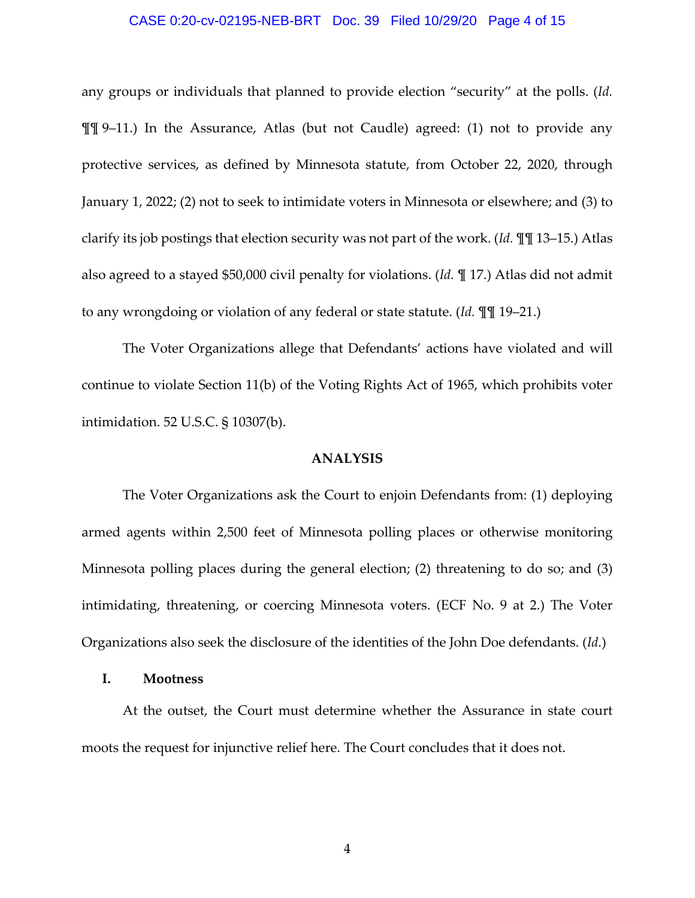#### CASE 0:20-cv-02195-NEB-BRT Doc. 39 Filed 10/29/20 Page 4 of 15

any groups or individuals that planned to provide election "security" at the polls. (*Id.* ¶¶ 9–11.) In the Assurance, Atlas (but not Caudle) agreed: (1) not to provide any protective services, as defined by Minnesota statute, from October 22, 2020, through January 1, 2022; (2) not to seek to intimidate voters in Minnesota or elsewhere; and (3) to clarify its job postings that election security was not part of the work. (*Id.* ¶¶ 13–15.) Atlas also agreed to a stayed \$50,000 civil penalty for violations. (*Id.* ¶ 17.) Atlas did not admit to any wrongdoing or violation of any federal or state statute. (*Id.* ¶¶ 19–21.)

The Voter Organizations allege that Defendants' actions have violated and will continue to violate Section 11(b) of the Voting Rights Act of 1965, which prohibits voter intimidation. 52 U.S.C. § 10307(b).

### **ANALYSIS**

The Voter Organizations ask the Court to enjoin Defendants from: (1) deploying armed agents within 2,500 feet of Minnesota polling places or otherwise monitoring Minnesota polling places during the general election; (2) threatening to do so; and (3) intimidating, threatening, or coercing Minnesota voters. (ECF No. 9 at 2.) The Voter Organizations also seek the disclosure of the identities of the John Doe defendants. (*Id.*)

## **I. Mootness**

At the outset, the Court must determine whether the Assurance in state court moots the request for injunctive relief here. The Court concludes that it does not.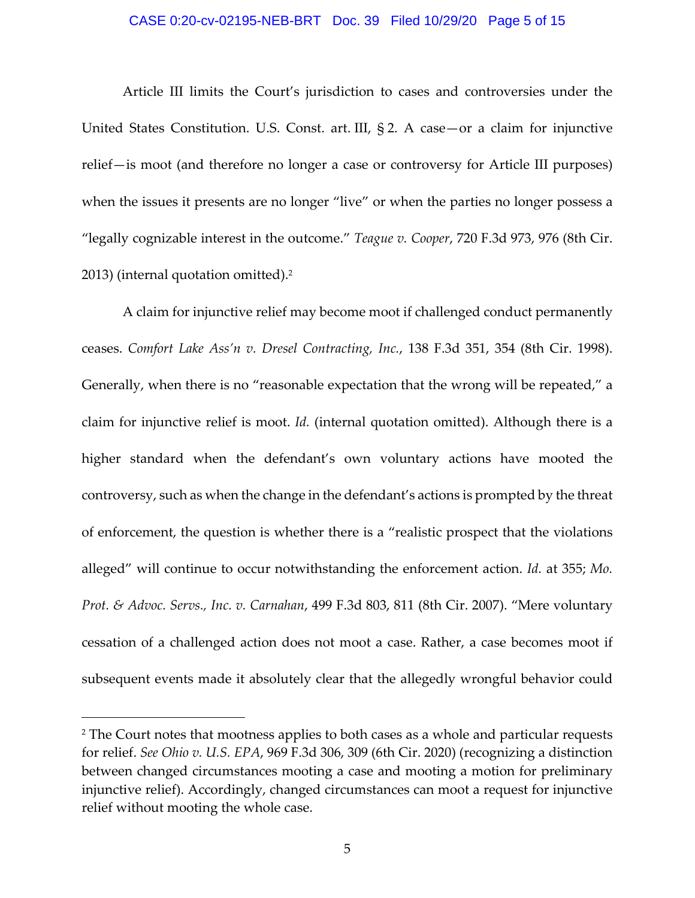#### CASE 0:20-cv-02195-NEB-BRT Doc. 39 Filed 10/29/20 Page 5 of 15

Article III limits the Court's jurisdiction to cases and controversies under the United States Constitution. U.S. Const. art. III, § 2. A case—or a claim for injunctive relief—is moot (and therefore no longer a case or controversy for Article III purposes) when the issues it presents are no longer "live" or when the parties no longer possess a "legally cognizable interest in the outcome." *Teague v. Cooper*, 720 F.3d 973, 976 (8th Cir. 2013) (internal quotation omitted).2

A claim for injunctive relief may become moot if challenged conduct permanently ceases. *Comfort Lake Ass'n v. Dresel Contracting, Inc.*, 138 F.3d 351, 354 (8th Cir. 1998). Generally, when there is no "reasonable expectation that the wrong will be repeated," a claim for injunctive relief is moot. *Id.* (internal quotation omitted). Although there is a higher standard when the defendant's own voluntary actions have mooted the controversy, such as when the change in the defendant's actions is prompted by the threat of enforcement, the question is whether there is a "realistic prospect that the violations alleged" will continue to occur notwithstanding the enforcement action. *Id.* at 355; *Mo. Prot. & Advoc. Servs., Inc. v. Carnahan*, 499 F.3d 803, 811 (8th Cir. 2007). "Mere voluntary cessation of a challenged action does not moot a case. Rather, a case becomes moot if subsequent events made it absolutely clear that the allegedly wrongful behavior could

<sup>&</sup>lt;sup>2</sup> The Court notes that mootness applies to both cases as a whole and particular requests for relief. *See Ohio v. U.S. EPA*, 969 F.3d 306, 309 (6th Cir. 2020) (recognizing a distinction between changed circumstances mooting a case and mooting a motion for preliminary injunctive relief). Accordingly, changed circumstances can moot a request for injunctive relief without mooting the whole case.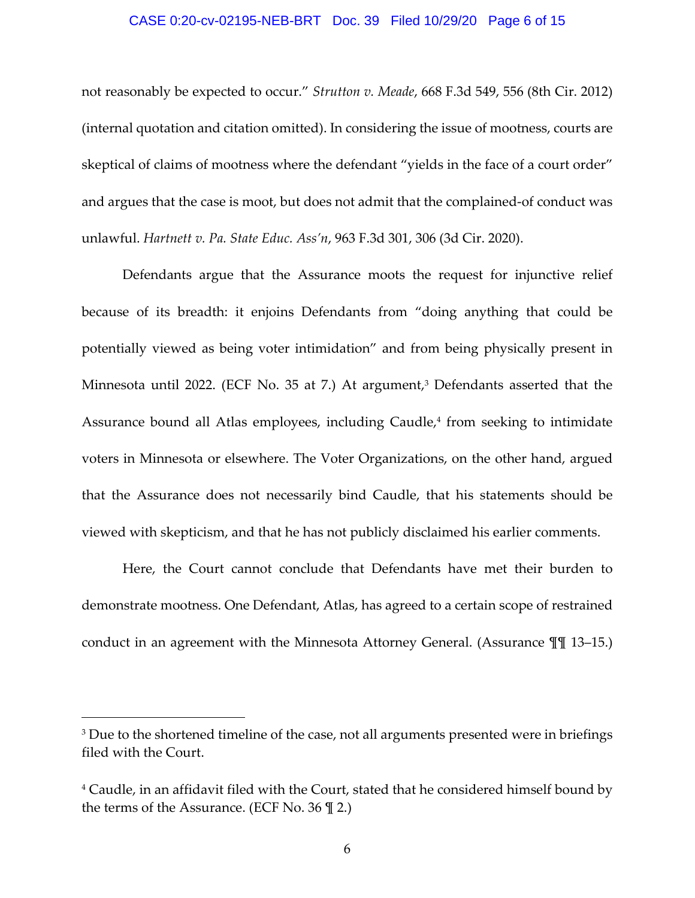#### CASE 0:20-cv-02195-NEB-BRT Doc. 39 Filed 10/29/20 Page 6 of 15

not reasonably be expected to occur." *Strutton v. Meade*, 668 F.3d 549, 556 (8th Cir. 2012) (internal quotation and citation omitted). In considering the issue of mootness, courts are skeptical of claims of mootness where the defendant "yields in the face of a court order" and argues that the case is moot, but does not admit that the complained‐of conduct was unlawful. *Hartnett v. Pa. State Educ. Ass'n*, 963 F.3d 301, 306 (3d Cir. 2020).

Defendants argue that the Assurance moots the request for injunctive relief because of its breadth: it enjoins Defendants from "doing anything that could be potentially viewed as being voter intimidation" and from being physically present in Minnesota until 2022. (ECF No. 35 at 7.) At argument,<sup>3</sup> Defendants asserted that the Assurance bound all Atlas employees, including Caudle,<sup>4</sup> from seeking to intimidate voters in Minnesota or elsewhere. The Voter Organizations, on the other hand, argued that the Assurance does not necessarily bind Caudle, that his statements should be viewed with skepticism, and that he has not publicly disclaimed his earlier comments.

Here, the Court cannot conclude that Defendants have met their burden to demonstrate mootness. One Defendant, Atlas, has agreed to a certain scope of restrained conduct in an agreement with the Minnesota Attorney General. (Assurance ¶¶ 13–15.)

<sup>&</sup>lt;sup>3</sup> Due to the shortened timeline of the case, not all arguments presented were in briefings filed with the Court.

<sup>4</sup> Caudle, in an affidavit filed with the Court, stated that he considered himself bound by the terms of the Assurance. (ECF No.  $36 \text{ } \mathcal{Z}$ )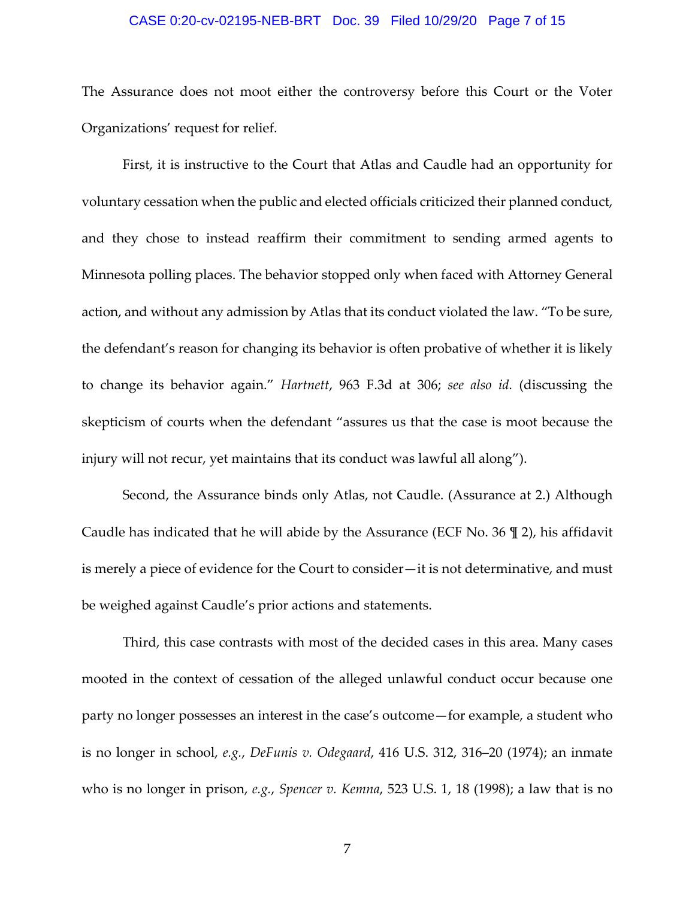#### CASE 0:20-cv-02195-NEB-BRT Doc. 39 Filed 10/29/20 Page 7 of 15

The Assurance does not moot either the controversy before this Court or the Voter Organizations' request for relief.

First, it is instructive to the Court that Atlas and Caudle had an opportunity for voluntary cessation when the public and elected officials criticized their planned conduct, and they chose to instead reaffirm their commitment to sending armed agents to Minnesota polling places. The behavior stopped only when faced with Attorney General action, and without any admission by Atlas that its conduct violated the law. "To be sure, the defendant's reason for changing its behavior is often probative of whether it is likely to change its behavior again." *Hartnett*, 963 F.3d at 306; *see also id.* (discussing the skepticism of courts when the defendant "assures us that the case is moot because the injury will not recur, yet maintains that its conduct was lawful all along").

Second, the Assurance binds only Atlas, not Caudle. (Assurance at 2.) Although Caudle has indicated that he will abide by the Assurance (ECF No. 36 ¶ 2), his affidavit is merely a piece of evidence for the Court to consider—it is not determinative, and must be weighed against Caudle's prior actions and statements.

Third, this case contrasts with most of the decided cases in this area. Many cases mooted in the context of cessation of the alleged unlawful conduct occur because one party no longer possesses an interest in the case's outcome—for example, a student who is no longer in school, *e.g.*, *DeFunis v. Odegaard*, 416 U.S. 312, 316–20 (1974); an inmate who is no longer in prison, *e.g.*, *Spencer v. Kemna*, 523 U.S. 1, 18 (1998); a law that is no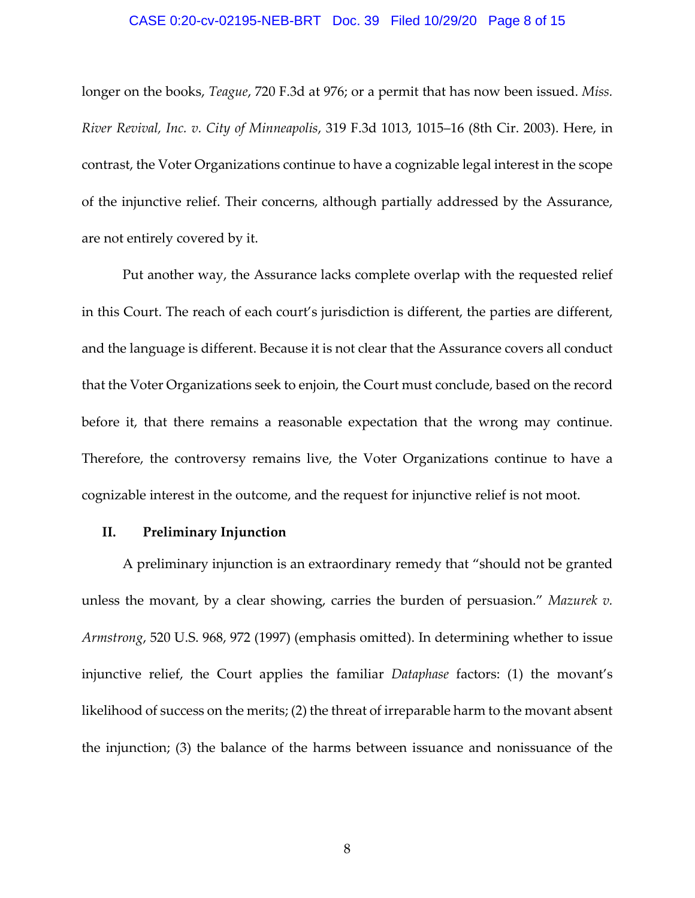### CASE 0:20-cv-02195-NEB-BRT Doc. 39 Filed 10/29/20 Page 8 of 15

longer on the books, *Teague*, 720 F.3d at 976; or a permit that has now been issued. *Miss. River Revival, Inc. v. City of Minneapolis*, 319 F.3d 1013, 1015–16 (8th Cir. 2003). Here, in contrast, the Voter Organizations continue to have a cognizable legal interest in the scope of the injunctive relief. Their concerns, although partially addressed by the Assurance, are not entirely covered by it.

Put another way, the Assurance lacks complete overlap with the requested relief in this Court. The reach of each court's jurisdiction is different, the parties are different, and the language is different. Because it is not clear that the Assurance covers all conduct that the Voter Organizations seek to enjoin, the Court must conclude, based on the record before it, that there remains a reasonable expectation that the wrong may continue. Therefore, the controversy remains live, the Voter Organizations continue to have a cognizable interest in the outcome, and the request for injunctive relief is not moot.

## **II. Preliminary Injunction**

A preliminary injunction is an extraordinary remedy that "should not be granted unless the movant, by a clear showing, carries the burden of persuasion." *Mazurek v. Armstrong*, 520 U.S. 968, 972 (1997) (emphasis omitted). In determining whether to issue injunctive relief, the Court applies the familiar *Dataphase* factors: (1) the movant's likelihood of success on the merits; (2) the threat of irreparable harm to the movant absent the injunction; (3) the balance of the harms between issuance and nonissuance of the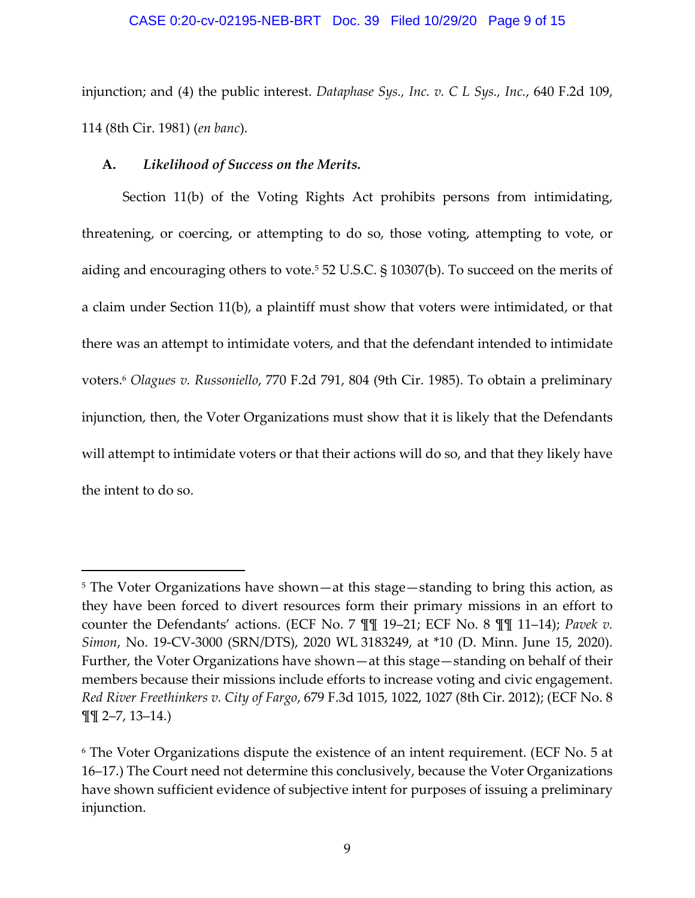#### CASE 0:20-cv-02195-NEB-BRT Doc. 39 Filed 10/29/20 Page 9 of 15

injunction; and (4) the public interest. *Dataphase Sys., Inc. v. C L Sys., Inc.*, 640 F.2d 109, 114 (8th Cir. 1981) (*en banc*).

## **A.** *Likelihood of Success on the Merits.*

Section 11(b) of the Voting Rights Act prohibits persons from intimidating, threatening, or coercing, or attempting to do so, those voting, attempting to vote, or aiding and encouraging others to vote.<sup>5</sup> 52 U.S.C. § 10307(b). To succeed on the merits of a claim under Section 11(b), a plaintiff must show that voters were intimidated, or that there was an attempt to intimidate voters, and that the defendant intended to intimidate voters.6 *Olagues v. Russoniello*, 770 F.2d 791, 804 (9th Cir. 1985). To obtain a preliminary injunction, then, the Voter Organizations must show that it is likely that the Defendants will attempt to intimidate voters or that their actions will do so, and that they likely have the intent to do so.

<sup>5</sup> The Voter Organizations have shown—at this stage—standing to bring this action, as they have been forced to divert resources form their primary missions in an effort to counter the Defendants' actions. (ECF No. 7 ¶¶ 19–21; ECF No. 8 ¶¶ 11–14); *Pavek v. Simon*, No. 19‐CV‐3000 (SRN/DTS), 2020 WL 3183249, at \*10 (D. Minn. June 15, 2020). Further, the Voter Organizations have shown—at this stage—standing on behalf of their members because their missions include efforts to increase voting and civic engagement. *Red River Freethinkers v. City of Fargo*, 679 F.3d 1015, 1022, 1027 (8th Cir. 2012); (ECF No. 8 ¶¶ 2–7, 13–14.)

<sup>6</sup> The Voter Organizations dispute the existence of an intent requirement. (ECF No. 5 at 16–17.) The Court need not determine this conclusively, because the Voter Organizations have shown sufficient evidence of subjective intent for purposes of issuing a preliminary injunction.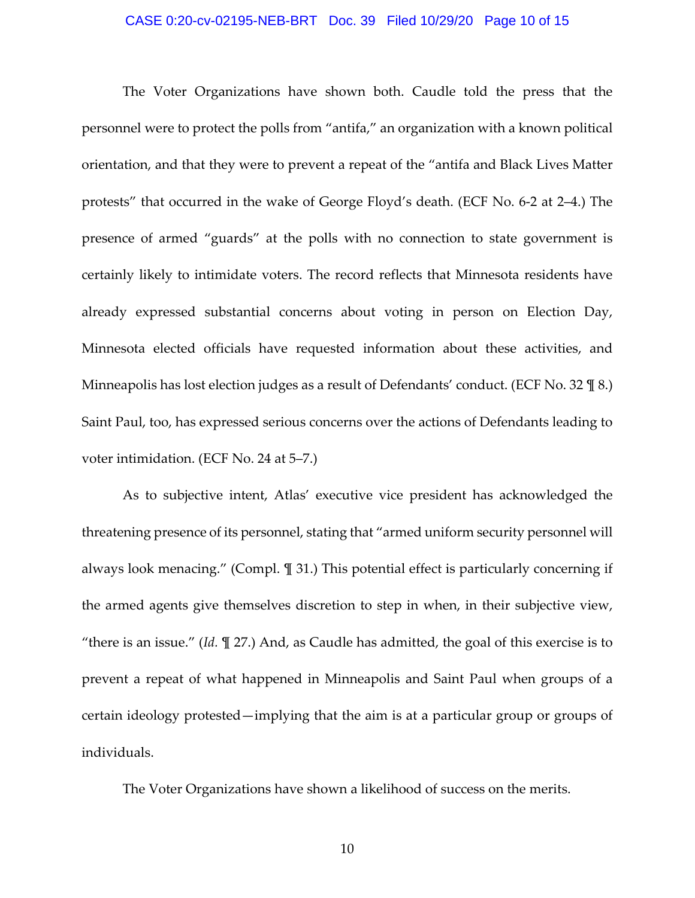### CASE 0:20-cv-02195-NEB-BRT Doc. 39 Filed 10/29/20 Page 10 of 15

The Voter Organizations have shown both. Caudle told the press that the personnel were to protect the polls from "antifa," an organization with a known political orientation, and that they were to prevent a repeat of the "antifa and Black Lives Matter protests" that occurred in the wake of George Floyd's death. (ECF No. 6‐2 at 2–4.) The presence of armed "guards" at the polls with no connection to state government is certainly likely to intimidate voters. The record reflects that Minnesota residents have already expressed substantial concerns about voting in person on Election Day, Minnesota elected officials have requested information about these activities, and Minneapolis has lost election judges as a result of Defendants' conduct. (ECF No. 32 \frac{8}\$ 8.) Saint Paul, too, has expressed serious concerns over the actions of Defendants leading to voter intimidation. (ECF No. 24 at 5–7.)

As to subjective intent, Atlas' executive vice president has acknowledged the threatening presence of its personnel, stating that "armed uniform security personnel will always look menacing." (Compl. ¶ 31.) This potential effect is particularly concerning if the armed agents give themselves discretion to step in when, in their subjective view, "there is an issue." (*Id.* ¶ 27.) And, as Caudle has admitted, the goal of this exercise is to prevent a repeat of what happened in Minneapolis and Saint Paul when groups of a certain ideology protested—implying that the aim is at a particular group or groups of individuals.

The Voter Organizations have shown a likelihood of success on the merits.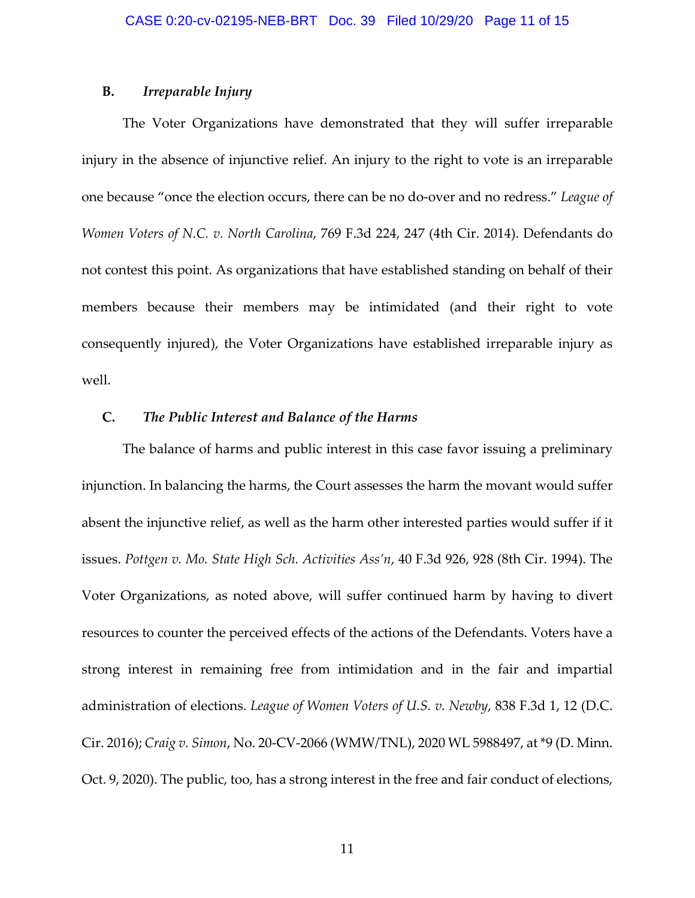## **B.** *Irreparable Injury*

The Voter Organizations have demonstrated that they will suffer irreparable injury in the absence of injunctive relief. An injury to the right to vote is an irreparable one because "once the election occurs, there can be no do‐over and no redress." *League of Women Voters of N.C. v. North Carolina*, 769 F.3d 224, 247 (4th Cir. 2014). Defendants do not contest this point. As organizations that have established standing on behalf of their members because their members may be intimidated (and their right to vote consequently injured), the Voter Organizations have established irreparable injury as well.

# **C.** *The Public Interest and Balance of the Harms*

The balance of harms and public interest in this case favor issuing a preliminary injunction. In balancing the harms, the Court assesses the harm the movant would suffer absent the injunctive relief, as well as the harm other interested parties would suffer if it issues. *Pottgen v. Mo. State High Sch. Activities Ass'n*, 40 F.3d 926, 928 (8th Cir. 1994). The Voter Organizations, as noted above, will suffer continued harm by having to divert resources to counter the perceived effects of the actions of the Defendants. Voters have a strong interest in remaining free from intimidation and in the fair and impartial administration of elections. *League of Women Voters of U.S. v. Newby*, 838 F.3d 1, 12 (D.C. Cir. 2016); *Craig v. Simon*, No. 20‐CV‐2066 (WMW/TNL), 2020 WL 5988497, at \*9 (D. Minn. Oct. 9, 2020). The public, too, has a strong interest in the free and fair conduct of elections,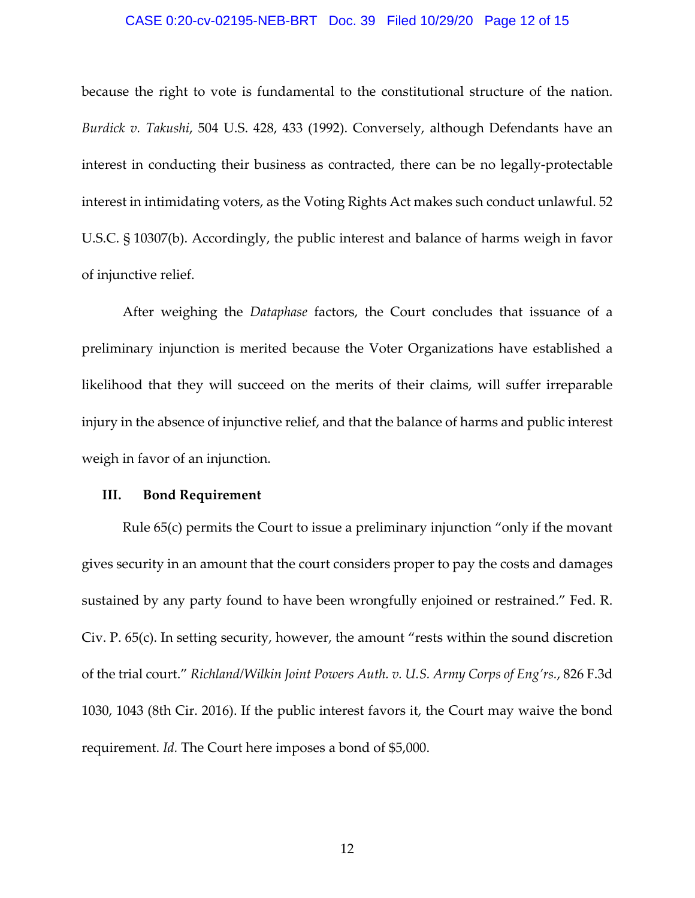### CASE 0:20-cv-02195-NEB-BRT Doc. 39 Filed 10/29/20 Page 12 of 15

because the right to vote is fundamental to the constitutional structure of the nation. *Burdick v. Takushi*, 504 U.S. 428, 433 (1992). Conversely, although Defendants have an interest in conducting their business as contracted, there can be no legally-protectable interest in intimidating voters, as the Voting Rights Act makes such conduct unlawful. 52 U.S.C. § 10307(b). Accordingly, the public interest and balance of harms weigh in favor of injunctive relief.

After weighing the *Dataphase* factors, the Court concludes that issuance of a preliminary injunction is merited because the Voter Organizations have established a likelihood that they will succeed on the merits of their claims, will suffer irreparable injury in the absence of injunctive relief, and that the balance of harms and public interest weigh in favor of an injunction.

## **III. Bond Requirement**

Rule 65(c) permits the Court to issue a preliminary injunction "only if the movant gives security in an amount that the court considers proper to pay the costs and damages sustained by any party found to have been wrongfully enjoined or restrained." Fed. R. Civ. P. 65(c). In setting security, however, the amount "rests within the sound discretion of the trial court." *Richland/Wilkin Joint Powers Auth. v. U.S. Army Corps of Eng'rs.*, 826 F.3d 1030, 1043 (8th Cir. 2016). If the public interest favors it, the Court may waive the bond requirement. *Id.* The Court here imposes a bond of \$5,000.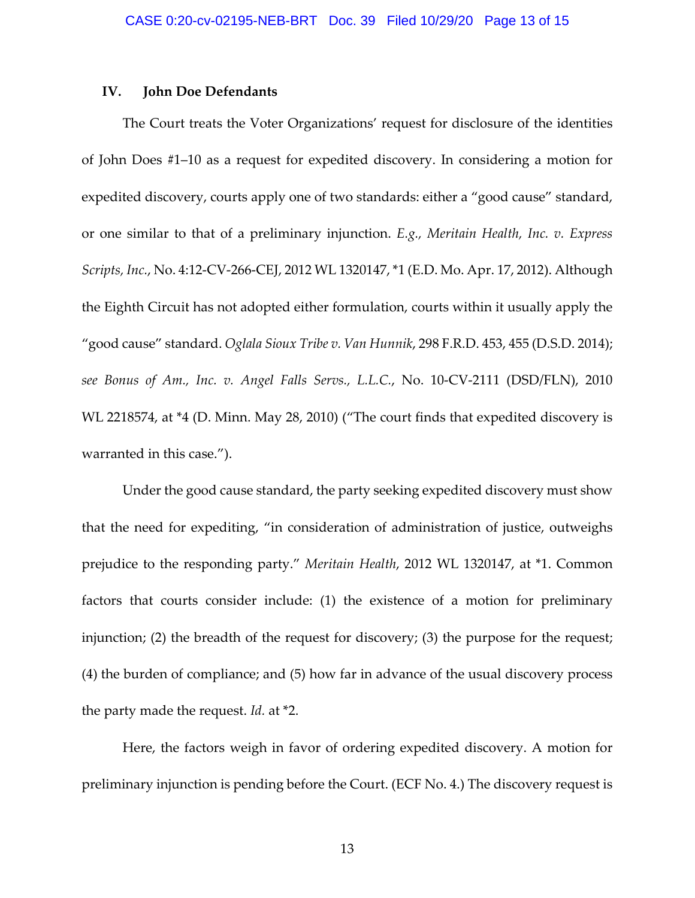#### **IV. John Doe Defendants**

The Court treats the Voter Organizations' request for disclosure of the identities of John Does #1–10 as a request for expedited discovery. In considering a motion for expedited discovery, courts apply one of two standards: either a "good cause" standard, or one similar to that of a preliminary injunction. *E.g., Meritain Health, Inc. v. Express Scripts, Inc.*, No. 4:12‐CV‐266‐CEJ, 2012 WL 1320147, \*1 (E.D. Mo. Apr. 17, 2012). Although the Eighth Circuit has not adopted either formulation, courts within it usually apply the "good cause" standard. *Oglala Sioux Tribe v. Van Hunnik*, 298 F.R.D. 453, 455 (D.S.D. 2014); *see Bonus of Am., Inc. v. Angel Falls Servs., L.L.C.*, No. 10‐CV‐2111 (DSD/FLN), 2010 WL 2218574, at \*4 (D. Minn. May 28, 2010) ("The court finds that expedited discovery is warranted in this case.").

Under the good cause standard, the party seeking expedited discovery must show that the need for expediting, "in consideration of administration of justice, outweighs prejudice to the responding party." *Meritain Health*, 2012 WL 1320147, at \*1. Common factors that courts consider include: (1) the existence of a motion for preliminary injunction; (2) the breadth of the request for discovery; (3) the purpose for the request; (4) the burden of compliance; and (5) how far in advance of the usual discovery process the party made the request. *Id.* at \*2.

Here, the factors weigh in favor of ordering expedited discovery. A motion for preliminary injunction is pending before the Court. (ECF No. 4.) The discovery request is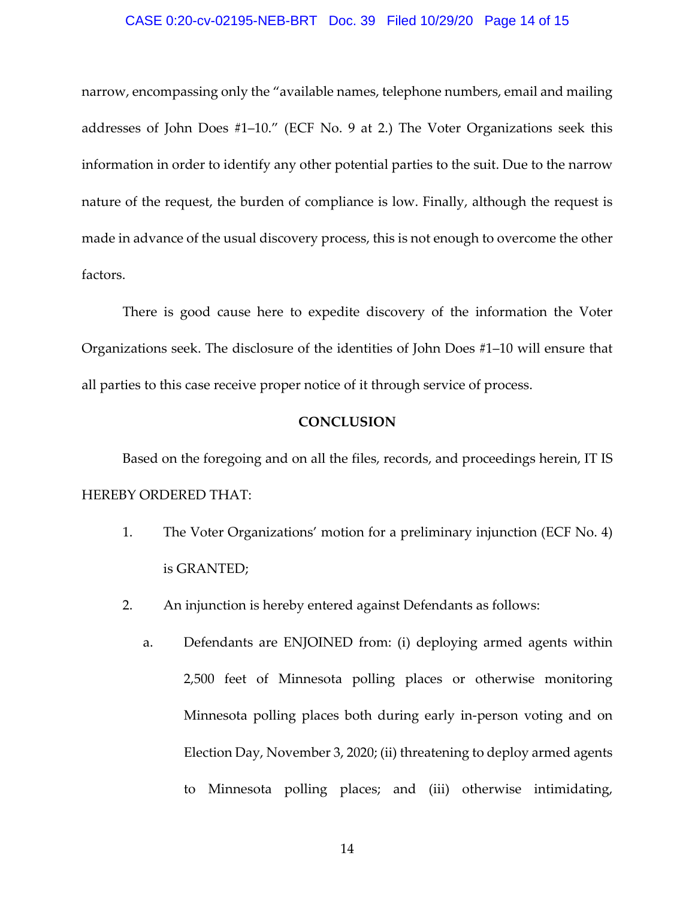### CASE 0:20-cv-02195-NEB-BRT Doc. 39 Filed 10/29/20 Page 14 of 15

narrow, encompassing only the "available names, telephone numbers, email and mailing addresses of John Does #1–10." (ECF No. 9 at 2.) The Voter Organizations seek this information in order to identify any other potential parties to the suit. Due to the narrow nature of the request, the burden of compliance is low. Finally, although the request is made in advance of the usual discovery process, this is not enough to overcome the other factors.

There is good cause here to expedite discovery of the information the Voter Organizations seek. The disclosure of the identities of John Does #1–10 will ensure that all parties to this case receive proper notice of it through service of process.

## **CONCLUSION**

Based on the foregoing and on all the files, records, and proceedings herein, IT IS HEREBY ORDERED THAT:

- 1. The Voter Organizations' motion for a preliminary injunction (ECF No. 4) is GRANTED;
- 2. An injunction is hereby entered against Defendants as follows:
	- a. Defendants are ENJOINED from: (i) deploying armed agents within 2,500 feet of Minnesota polling places or otherwise monitoring Minnesota polling places both during early in‐person voting and on Election Day, November 3, 2020; (ii) threatening to deploy armed agents to Minnesota polling places; and (iii) otherwise intimidating,